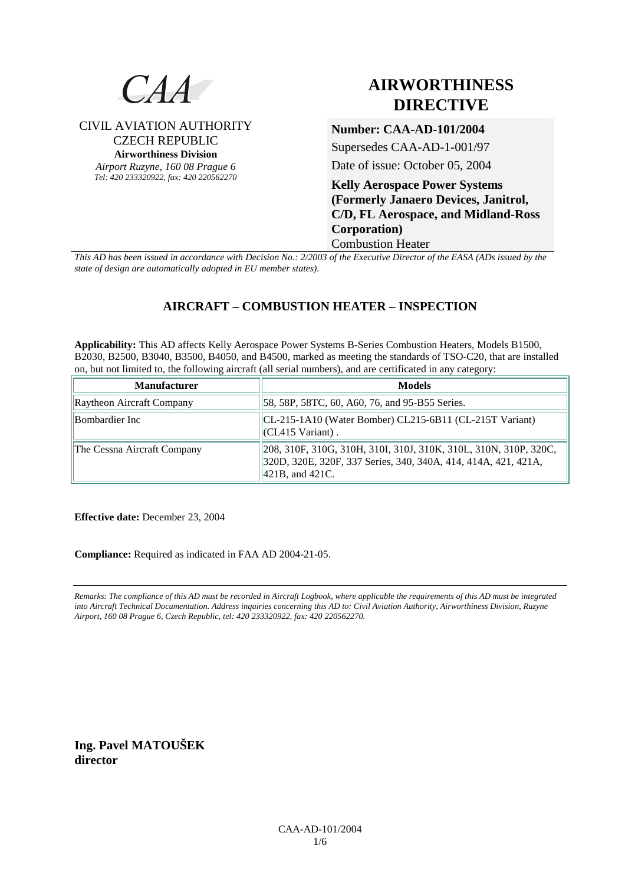

## CIVIL AVIATION AUTHORITY CZECH REPUBLIC **Airworthiness Division**

*Airport Ruzyne, 160 08 Prague 6 Tel: 420 233320922, fax: 420 220562270*

# **AIRWORTHINESS DIRECTIVE**

# **Number: CAA-AD-101/2004**

Supersedes CAA-AD-1-001/97

Date of issue: October 05, 2004

**Kelly Aerospace Power Systems (Formerly Janaero Devices, Janitrol, C/D, FL Aerospace, and Midland-Ross Corporation)**  Combustion Heater

*This AD has been issued in accordance with Decision No.: 2/2003 of the Executive Director of the EASA (ADs issued by the state of design are automatically adopted in EU member states).*

## **AIRCRAFT – COMBUSTION HEATER – INSPECTION**

**Applicability:** This AD affects Kelly Aerospace Power Systems B-Series Combustion Heaters, Models B1500, B2030, B2500, B3040, B3500, B4050, and B4500, marked as meeting the standards of TSO-C20, that are installed on, but not limited to, the following aircraft (all serial numbers), and are certificated in any category:

| <b>Manufacturer</b>         | <b>Models</b>                                                                                                                                             |
|-----------------------------|-----------------------------------------------------------------------------------------------------------------------------------------------------------|
| Raytheon Aircraft Company   | [58, 58P, 58TC, 60, A60, 76, and 95-B55 Series.]                                                                                                          |
| Bombardier Inc              | $ CL-215-1A10$ (Water Bomber) CL215-6B11 (CL-215T Variant)<br>$\vert$ (CL415 Variant).                                                                    |
| The Cessna Aircraft Company | 208, 310F, 310G, 310H, 310I, 310J, 310K, 310L, 310N, 310P, 320C,<br>320D, 320E, 320F, 337 Series, 340, 340A, 414, 414A, 421, 421A,<br>$ 421B$ , and 421C. |

**Effective date:** December 23, 2004

**Compliance:** Required as indicated in FAA AD 2004-21-05.

*Remarks: The compliance of this AD must be recorded in Aircraft Logbook, where applicable the requirements of this AD must be integrated into Aircraft Technical Documentation. Address inquiries concerning this AD to: Civil Aviation Authority, Airworthiness Division, Ruzyne Airport, 160 08 Prague 6, Czech Republic, tel: 420 233320922, fax: 420 220562270.* 

**Ing. Pavel MATOUŠEK director**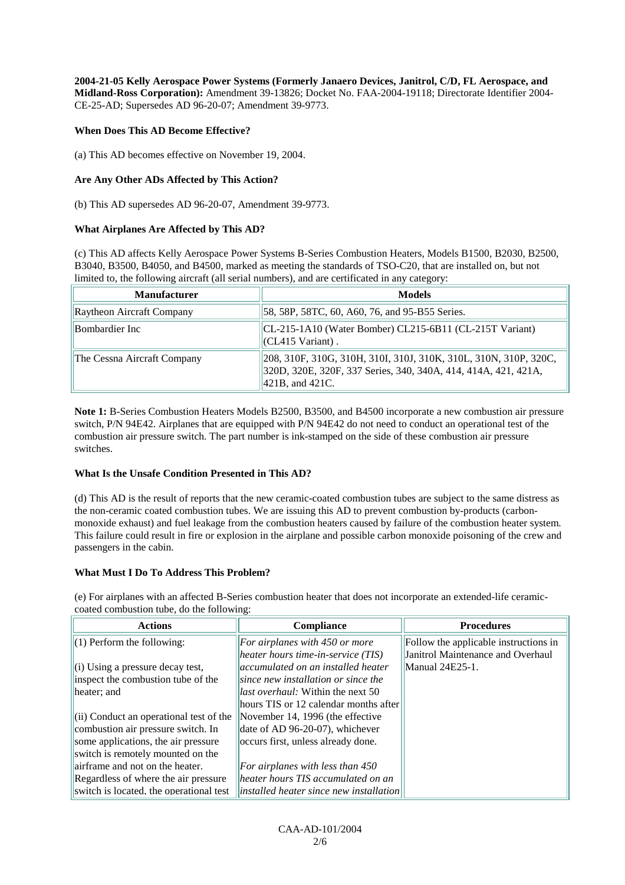**2004-21-05 Kelly Aerospace Power Systems (Formerly Janaero Devices, Janitrol, C/D, FL Aerospace, and Midland-Ross Corporation):** Amendment 39-13826; Docket No. FAA-2004-19118; Directorate Identifier 2004- CE-25-AD; Supersedes AD 96-20-07; Amendment 39-9773.

#### **When Does This AD Become Effective?**

(a) This AD becomes effective on November 19, 2004.

#### **Are Any Other ADs Affected by This Action?**

(b) This AD supersedes AD 96-20-07, Amendment 39-9773.

#### **What Airplanes Are Affected by This AD?**

(c) This AD affects Kelly Aerospace Power Systems B-Series Combustion Heaters, Models B1500, B2030, B2500, B3040, B3500, B4050, and B4500, marked as meeting the standards of TSO-C20, that are installed on, but not limited to, the following aircraft (all serial numbers), and are certificated in any category:

| <b>Manufacturer</b>         | <b>Models</b>                                                                                                                                              |
|-----------------------------|------------------------------------------------------------------------------------------------------------------------------------------------------------|
| Raytheon Aircraft Company   | [58, 58P, 58TC, 60, A60, 76, and 95-B55 Series.]                                                                                                           |
| Bombardier Inc              | CL-215-1A10 (Water Bomber) CL215-6B11 (CL-215T Variant)<br>$\vert$ (CL415 Variant).                                                                        |
| The Cessna Aircraft Company | [208, 310F, 310G, 310H, 310I, 310J, 310K, 310L, 310N, 310P, 320C,<br>320D, 320E, 320F, 337 Series, 340, 340A, 414, 414A, 421, 421A,<br>$ 421B$ , and 421C. |

**Note 1:** B-Series Combustion Heaters Models B2500, B3500, and B4500 incorporate a new combustion air pressure switch, P/N 94E42. Airplanes that are equipped with P/N 94E42 do not need to conduct an operational test of the combustion air pressure switch. The part number is ink-stamped on the side of these combustion air pressure switches.

#### **What Is the Unsafe Condition Presented in This AD?**

(d) This AD is the result of reports that the new ceramic-coated combustion tubes are subject to the same distress as the non-ceramic coated combustion tubes. We are issuing this AD to prevent combustion by-products (carbonmonoxide exhaust) and fuel leakage from the combustion heaters caused by failure of the combustion heater system. This failure could result in fire or explosion in the airplane and possible carbon monoxide poisoning of the crew and passengers in the cabin.

#### **What Must I Do To Address This Problem?**

(e) For airplanes with an affected B-Series combustion heater that does not incorporate an extended-life ceramiccoated combustion tube, do the following:

| <b>Actions</b>                                      | <b>Compliance</b>                                       | <b>Procedures</b>                     |
|-----------------------------------------------------|---------------------------------------------------------|---------------------------------------|
| $(1)$ Perform the following:                        | For airplanes with $450$ or more                        | Follow the applicable instructions in |
|                                                     | heater hours time-in-service (TIS)                      | Janitrol Maintenance and Overhaul     |
| $\left\vert$ (i) Using a pressure decay test,       | accumulated on an installed heater                      | Manual 24E25-1.                       |
| inspect the combustion tube of the                  | since new installation or since the                     |                                       |
| heater; and                                         | <i>llast overhaul:</i> Within the next 50               |                                       |
|                                                     | hours TIS or 12 calendar months after                   |                                       |
| $\left  \right $ Conduct an operational test of the | November 14, 1996 (the effective                        |                                       |
| combustion air pressure switch. In                  | date of AD 96-20-07), whichever                         |                                       |
| some applications, the air pressure                 | occurs first, unless already done.                      |                                       |
| switch is remotely mounted on the                   |                                                         |                                       |
| airframe and not on the heater.                     | For airplanes with less than $450$                      |                                       |
| Regardless of where the air pressure                | heater hours TIS accumulated on an                      |                                       |
| switch is located, the operational test             | $\vert$ installed heater since new installation $\vert$ |                                       |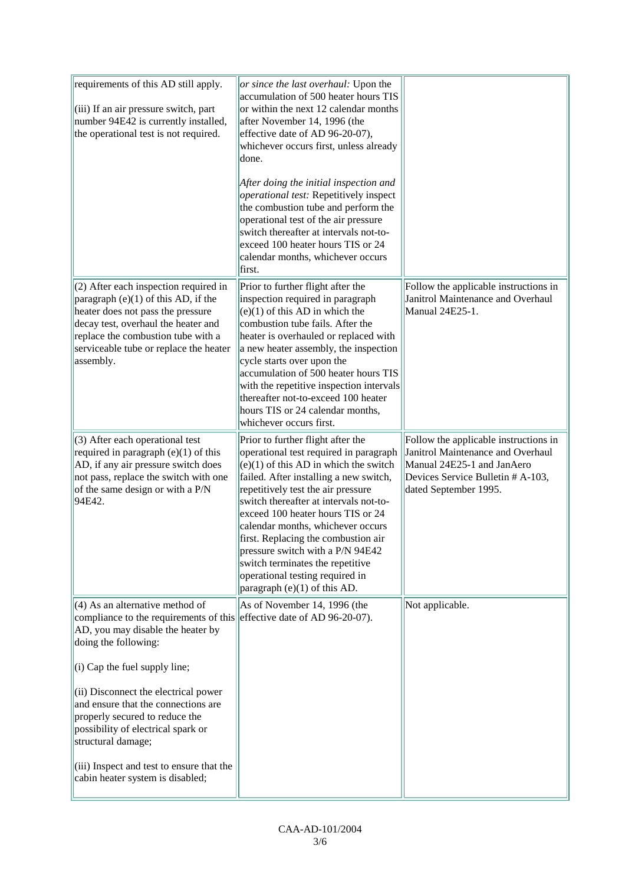| requirements of this AD still apply.<br>(iii) If an air pressure switch, part<br>number 94E42 is currently installed,<br>the operational test is not required.                                                                                                                                                                                                                                                                                                        | or since the last overhaul: Upon the<br>accumulation of 500 heater hours TIS<br>or within the next 12 calendar months<br>after November 14, 1996 (the<br>effective date of AD 96-20-07),<br>whichever occurs first, unless already<br>done.<br>After doing the initial inspection and<br>operational test: Repetitively inspect<br>the combustion tube and perform the<br>operational test of the air pressure<br>switch thereafter at intervals not-to-<br>exceed 100 heater hours TIS or 24<br>calendar months, whichever occurs<br>first. |                                                                                                                                                                        |
|-----------------------------------------------------------------------------------------------------------------------------------------------------------------------------------------------------------------------------------------------------------------------------------------------------------------------------------------------------------------------------------------------------------------------------------------------------------------------|----------------------------------------------------------------------------------------------------------------------------------------------------------------------------------------------------------------------------------------------------------------------------------------------------------------------------------------------------------------------------------------------------------------------------------------------------------------------------------------------------------------------------------------------|------------------------------------------------------------------------------------------------------------------------------------------------------------------------|
| (2) After each inspection required in<br>paragraph $(e)(1)$ of this AD, if the<br>heater does not pass the pressure<br>decay test, overhaul the heater and<br>replace the combustion tube with a<br>serviceable tube or replace the heater<br>assembly.                                                                                                                                                                                                               | Prior to further flight after the<br>inspection required in paragraph<br>$(e)(1)$ of this AD in which the<br>combustion tube fails. After the<br>heater is overhauled or replaced with<br>a new heater assembly, the inspection<br>cycle starts over upon the<br>accumulation of 500 heater hours TIS<br>with the repetitive inspection intervals<br>thereafter not-to-exceed 100 heater<br>hours TIS or 24 calendar months,<br>whichever occurs first.                                                                                      | Follow the applicable instructions in<br>Janitrol Maintenance and Overhaul<br>Manual 24E25-1.                                                                          |
| (3) After each operational test<br>required in paragraph $(e)(1)$ of this<br>AD, if any air pressure switch does<br>not pass, replace the switch with one<br>of the same design or with a P/N<br>94E42.                                                                                                                                                                                                                                                               | Prior to further flight after the<br>operational test required in paragraph<br>$(e)(1)$ of this AD in which the switch<br>failed. After installing a new switch,<br>repetitively test the air pressure<br>switch thereafter at intervals not-to-<br>exceed 100 heater hours TIS or 24<br>calendar months, whichever occurs<br>first. Replacing the combustion air<br>pressure switch with a P/N 94E42<br>switch terminates the repetitive<br>operational testing required in<br>paragraph (e)(1) of this AD.                                 | Follow the applicable instructions in<br>Janitrol Maintenance and Overhaul<br>Manual 24E25-1 and JanAero<br>Devices Service Bulletin # A-103,<br>dated September 1995. |
| (4) As an alternative method of<br>compliance to the requirements of this effective date of AD 96-20-07).<br>AD, you may disable the heater by<br>doing the following:<br>(i) Cap the fuel supply line;<br>(ii) Disconnect the electrical power<br>and ensure that the connections are<br>properly secured to reduce the<br>possibility of electrical spark or<br>structural damage;<br>(iii) Inspect and test to ensure that the<br>cabin heater system is disabled; | As of November 14, 1996 (the                                                                                                                                                                                                                                                                                                                                                                                                                                                                                                                 | Not applicable.                                                                                                                                                        |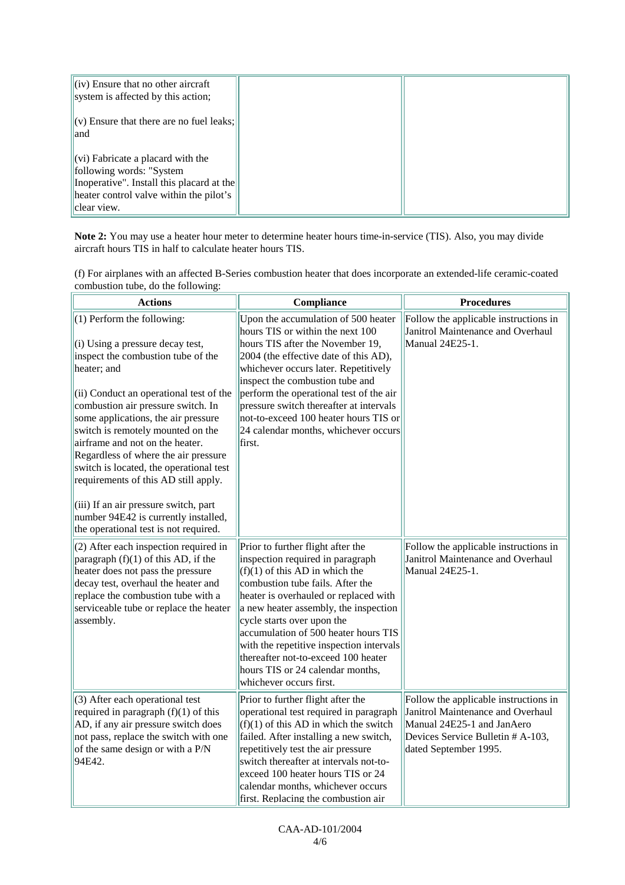| $\left\vert \mathrm{(iv)}\right\rangle$ Ensure that no other aircraft<br>system is affected by this action;                                                                                                                   |  |
|-------------------------------------------------------------------------------------------------------------------------------------------------------------------------------------------------------------------------------|--|
| $\ $ (v) Ensure that there are no fuel leaks; $\ $<br>land                                                                                                                                                                    |  |
| $\left\vert \left( \mathrm{vi}\right) \right\rangle$ Fabricate a placard with the<br>following words: "System"<br>Inoperative". Install this placard at the<br>$ $ heater control valve within the pilot's $ $<br>clear view. |  |

**Note 2:** You may use a heater hour meter to determine heater hours time-in-service (TIS). Also, you may divide aircraft hours TIS in half to calculate heater hours TIS.

| (f) For airplanes with an affected B-Series combustion heater that does incorporate an extended-life ceramic-coated |
|---------------------------------------------------------------------------------------------------------------------|
| combustion tube, do the following:                                                                                  |

| <b>Actions</b>                                                                                                                                                                                                                                                                                                                                                                                                                                                                                                                                                           | Compliance                                                                                                                                                                                                                                                                                                                                                                                                                                              | <b>Procedures</b>                                                                                                                                                      |
|--------------------------------------------------------------------------------------------------------------------------------------------------------------------------------------------------------------------------------------------------------------------------------------------------------------------------------------------------------------------------------------------------------------------------------------------------------------------------------------------------------------------------------------------------------------------------|---------------------------------------------------------------------------------------------------------------------------------------------------------------------------------------------------------------------------------------------------------------------------------------------------------------------------------------------------------------------------------------------------------------------------------------------------------|------------------------------------------------------------------------------------------------------------------------------------------------------------------------|
| (1) Perform the following:<br>(i) Using a pressure decay test,<br>inspect the combustion tube of the<br>heater; and<br>(ii) Conduct an operational test of the<br>combustion air pressure switch. In<br>some applications, the air pressure<br>switch is remotely mounted on the<br>airframe and not on the heater.<br>Regardless of where the air pressure<br>switch is located, the operational test<br>requirements of this AD still apply.<br>(iii) If an air pressure switch, part<br>number 94E42 is currently installed,<br>the operational test is not required. | Upon the accumulation of 500 heater<br>hours TIS or within the next 100<br>hours TIS after the November 19,<br>2004 (the effective date of this AD),<br>whichever occurs later. Repetitively<br>inspect the combustion tube and<br>perform the operational test of the air<br>pressure switch thereafter at intervals<br>not-to-exceed 100 heater hours TIS or<br>24 calendar months, whichever occurs<br>first.                                        | Follow the applicable instructions in<br>Janitrol Maintenance and Overhaul<br>Manual 24E25-1.                                                                          |
| (2) After each inspection required in<br>paragraph $(f)(1)$ of this AD, if the<br>heater does not pass the pressure<br>decay test, overhaul the heater and<br>replace the combustion tube with a<br>serviceable tube or replace the heater<br>assembly.                                                                                                                                                                                                                                                                                                                  | Prior to further flight after the<br>inspection required in paragraph<br>$(f)(1)$ of this AD in which the<br>combustion tube fails. After the<br>heater is overhauled or replaced with<br>a new heater assembly, the inspection<br>cycle starts over upon the<br>accumulation of 500 heater hours TIS<br>with the repetitive inspection intervals<br>thereafter not-to-exceed 100 heater<br>hours TIS or 24 calendar months,<br>whichever occurs first. | Follow the applicable instructions in<br>Janitrol Maintenance and Overhaul<br>Manual 24E25-1.                                                                          |
| (3) After each operational test<br>required in paragraph $(f)(1)$ of this<br>AD, if any air pressure switch does<br>not pass, replace the switch with one<br>of the same design or with a P/N<br>94E42.                                                                                                                                                                                                                                                                                                                                                                  | Prior to further flight after the<br>operational test required in paragraph<br>$(f)(1)$ of this AD in which the switch<br>failed. After installing a new switch,<br>repetitively test the air pressure<br>switch thereafter at intervals not-to-<br>exceed 100 heater hours TIS or 24<br>calendar months, whichever occurs<br>first. Replacing the combustion air                                                                                       | Follow the applicable instructions in<br>Janitrol Maintenance and Overhaul<br>Manual 24E25-1 and JanAero<br>Devices Service Bulletin # A-103,<br>dated September 1995. |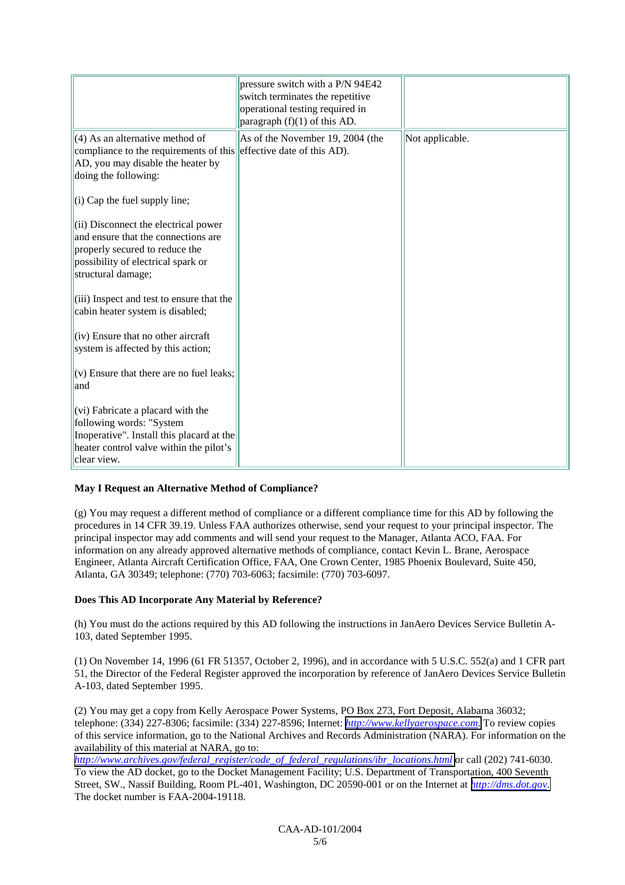|                                                                                                                                                                                                     | pressure switch with a P/N 94E42<br>switch terminates the repetitive<br>operational testing required in<br>paragraph $(f)(1)$ of this AD. |                 |
|-----------------------------------------------------------------------------------------------------------------------------------------------------------------------------------------------------|-------------------------------------------------------------------------------------------------------------------------------------------|-----------------|
| (4) As an alternative method of<br>compliance to the requirements of this effective date of this AD).<br>AD, you may disable the heater by<br>doing the following:<br>(i) Cap the fuel supply line; | As of the November 19, 2004 (the                                                                                                          | Not applicable. |
| (ii) Disconnect the electrical power<br>and ensure that the connections are<br>properly secured to reduce the<br>possibility of electrical spark or<br>structural damage;                           |                                                                                                                                           |                 |
| (iii) Inspect and test to ensure that the<br>cabin heater system is disabled;                                                                                                                       |                                                                                                                                           |                 |
| (iv) Ensure that no other aircraft<br>system is affected by this action;                                                                                                                            |                                                                                                                                           |                 |
| (v) Ensure that there are no fuel leaks;<br>and                                                                                                                                                     |                                                                                                                                           |                 |
| (vi) Fabricate a placard with the<br>following words: "System<br>Inoperative". Install this placard at the<br>heater control valve within the pilot's<br>clear view.                                |                                                                                                                                           |                 |

## **May I Request an Alternative Method of Compliance?**

(g) You may request a different method of compliance or a different compliance time for this AD by following the procedures in 14 CFR 39.19. Unless FAA authorizes otherwise, send your request to your principal inspector. The principal inspector may add comments and will send your request to the Manager, Atlanta ACO, FAA. For information on any already approved alternative methods of compliance, contact Kevin L. Brane, Aerospace Engineer, Atlanta Aircraft Certification Office, FAA, One Crown Center, 1985 Phoenix Boulevard, Suite 450, Atlanta, GA 30349; telephone: (770) 703-6063; facsimile: (770) 703-6097.

## **Does This AD Incorporate Any Material by Reference?**

(h) You must do the actions required by this AD following the instructions in JanAero Devices Service Bulletin A-103, dated September 1995.

(1) On November 14, 1996 (61 FR 51357, October 2, 1996), and in accordance with 5 U.S.C. 552(a) and 1 CFR part 51, the Director of the Federal Register approved the incorporation by reference of JanAero Devices Service Bulletin A-103, dated September 1995.

(2) You may get a copy from Kelly Aerospace Power Systems, PO Box 273, Fort Deposit, Alabama 36032; telephone: (334) 227-8306; facsimile: (334) 227-8596; Internet: *[http://www.kellyaerospace.com](http://www.kellyaerospace.com/)*. To review copies of this service information, go to the National Archives and Records Administration (NARA). For information on the availability of this material at NARA, go to:

*[http://www.archives.gov/federal\\_register/code\\_of\\_federal\\_regulations/ibr\\_locations.html](http://www.archives.gov/federal_register/code_of_federal_regulations/ibr_locations.html)* or call (202) 741-6030. To view the AD docket, go to the Docket Management Facility; U.S. Department of Transportation, 400 Seventh Street, SW., Nassif Building, Room PL-401, Washington, DC 20590-001 or on the Internet at *[http://dms.dot.gov.](http://dms.dot.gov/)* The docket number is FAA-2004-19118.